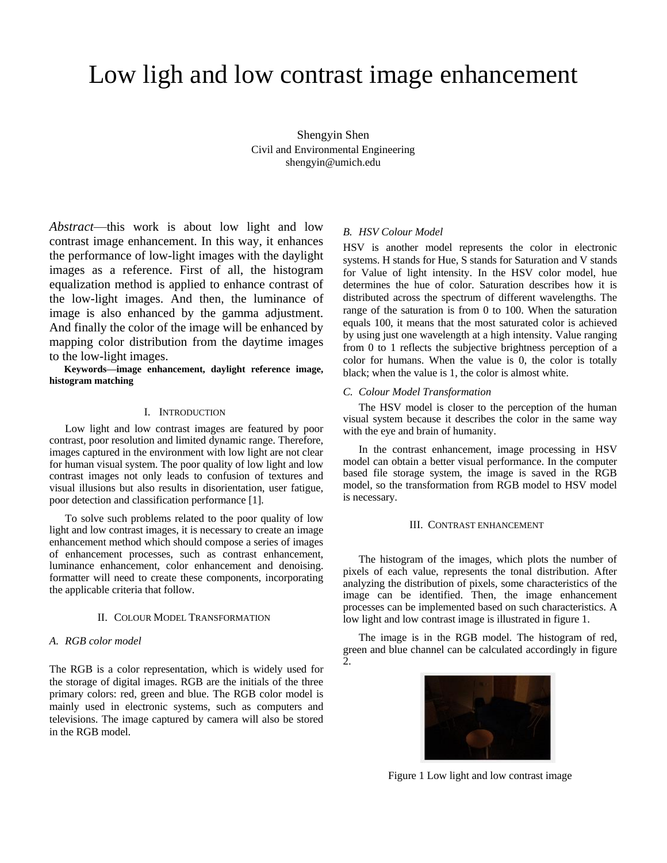# Low ligh and low contrast image enhancement

Shengyin Shen Civil and Environmental Engineering shengyin@umich.edu

*Abstract*—this work is about low light and low contrast image enhancement. In this way, it enhances the performance of low-light images with the daylight images as a reference. First of all, the histogram equalization method is applied to enhance contrast of the low-light images. And then, the luminance of image is also enhanced by the gamma adjustment. And finally the color of the image will be enhanced by mapping color distribution from the daytime images to the low-light images.

**Keywords—image enhancement, daylight reference image, histogram matching** 

## I. INTRODUCTION

Low light and low contrast images are featured by poor contrast, poor resolution and limited dynamic range. Therefore, images captured in the environment with low light are not clear for human visual system. The poor quality of low light and low contrast images not only leads to confusion of textures and visual illusions but also results in disorientation, user fatigue, poor detection and classification performance [1].

To solve such problems related to the poor quality of low light and low contrast images, it is necessary to create an image enhancement method which should compose a series of images of enhancement processes, such as contrast enhancement, luminance enhancement, color enhancement and denoising. formatter will need to create these components, incorporating the applicable criteria that follow.

## II. COLOUR MODEL TRANSFORMATION

## *A. RGB color model*

The RGB is a color representation, which is widely used for the storage of digital images. RGB are the initials of the three primary colors: red, green and blue. The RGB color model is mainly used in electronic systems, such as computers and televisions. The image captured by camera will also be stored in the RGB model.

## *B. HSV Colour Model*

HSV is another model represents the color in electronic systems. H stands for Hue, S stands for Saturation and V stands for Value of light intensity. In the HSV color model, hue determines the hue of color. Saturation describes how it is distributed across the spectrum of different wavelengths. The range of the saturation is from 0 to 100. When the saturation equals 100, it means that the most saturated color is achieved by using just one wavelength at a high intensity. Value ranging from 0 to 1 reflects the subjective brightness perception of a color for humans. When the value is 0, the color is totally black; when the value is 1, the color is almost white.

#### *C. Colour Model Transformation*

The HSV model is closer to the perception of the human visual system because it describes the color in the same way with the eye and brain of humanity.

In the contrast enhancement, image processing in HSV model can obtain a better visual performance. In the computer based file storage system, the image is saved in the RGB model, so the transformation from RGB model to HSV model is necessary.

#### III. CONTRAST ENHANCEMENT

The histogram of the images, which plots the number of pixels of each value, represents the tonal distribution. After analyzing the distribution of pixels, some characteristics of the image can be identified. Then, the image enhancement processes can be implemented based on such characteristics. A low light and low contrast image is illustrated in figure 1.

The image is in the RGB model. The histogram of red, green and blue channel can be calculated accordingly in figure 2.



Figure 1 Low light and low contrast image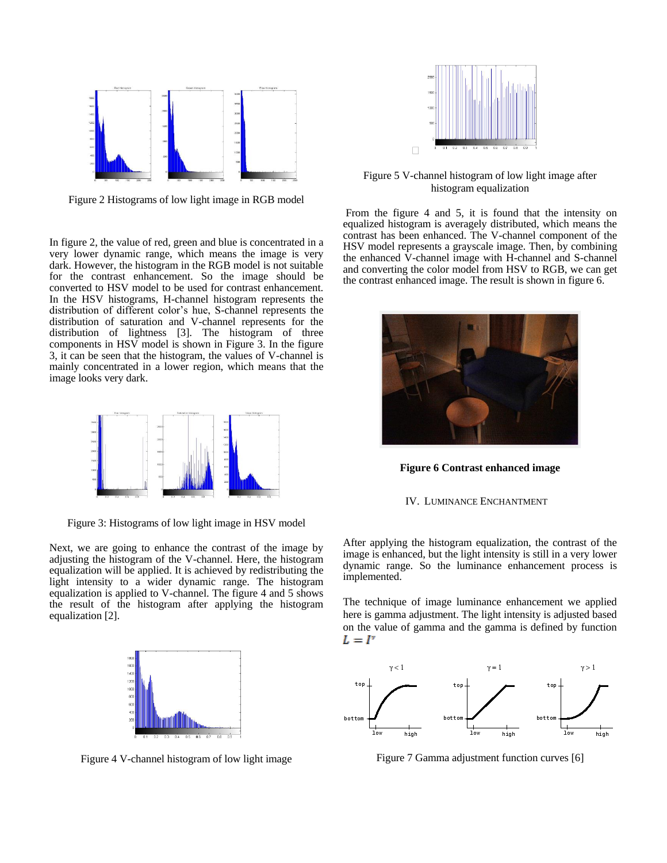

Figure 2 Histograms of low light image in RGB model

In figure 2, the value of red, green and blue is concentrated in a very lower dynamic range, which means the image is very dark. However, the histogram in the RGB model is not suitable for the contrast enhancement. So the image should be converted to HSV model to be used for contrast enhancement. In the HSV histograms, H-channel histogram represents the distribution of different color's hue, S-channel represents the distribution of saturation and V-channel represents for the distribution of lightness [3]. The histogram of three components in HSV model is shown in Figure 3. In the figure 3, it can be seen that the histogram, the values of V-channel is mainly concentrated in a lower region, which means that the image looks very dark.



Figure 3: Histograms of low light image in HSV model

Next, we are going to enhance the contrast of the image by adjusting the histogram of the V-channel. Here, the histogram equalization will be applied. It is achieved by redistributing the light intensity to a wider dynamic range. The histogram equalization is applied to V-channel. The figure 4 and 5 shows the result of the histogram after applying the histogram equalization [2].



Figure 4 V-channel histogram of low light image



Figure 5 V-channel histogram of low light image after histogram equalization

From the figure 4 and 5, it is found that the intensity on equalized histogram is averagely distributed, which means the contrast has been enhanced. The V-channel component of the HSV model represents a grayscale image. Then, by combining the enhanced V-channel image with H-channel and S-channel and converting the color model from HSV to RGB, we can get the contrast enhanced image. The result is shown in figure 6.



**Figure 6 Contrast enhanced image**

#### IV. LUMINANCE ENCHANTMENT

After applying the histogram equalization, the contrast of the image is enhanced, but the light intensity is still in a very lower dynamic range. So the luminance enhancement process is implemented.

The technique of image luminance enhancement we applied here is gamma adjustment. The light intensity is adjusted based on the value of gamma and the gamma is defined by function  $L = I^{\prime}$ 



Figure 7 Gamma adjustment function curves [6]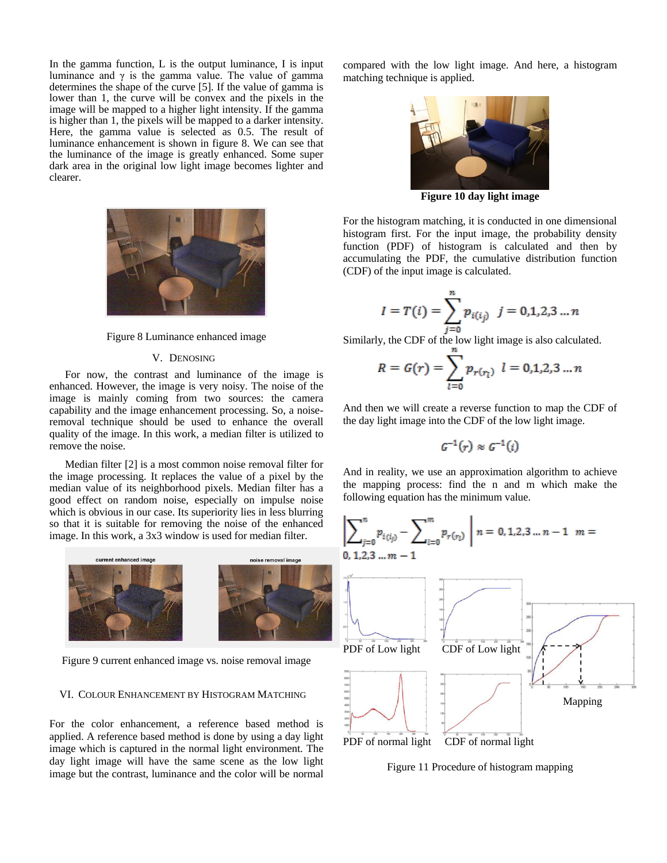In the gamma function,  $L$  is the output luminance,  $I$  is input luminance and  $\gamma$  is the gamma value. The value of gamma determines the shape of the curve [5]. If the value of gamma is lower than 1, the curve will be convex and the pixels in the image will be mapped to a higher light intensity. If the gamma is higher than 1, the pixels will be mapped to a darker intensity. Here, the gamma value is selected as 0.5. The result of luminance enhancement is shown in figure 8. We can see that the luminance of the image is greatly enhanced. Some super dark area in the original low light image becomes lighter and clearer.



#### Figure 8 Luminance enhanced image

## V. DENOSING

For now, the contrast and luminance of the image is enhanced. However, the image is very noisy. The noise of the image is mainly coming from two sources: the camera capability and the image enhancement processing. So, a noiseremoval technique should be used to enhance the overall quality of the image. In this work, a median filter is utilized to remove the noise.

Median filter [2] is a most common noise removal filter for the image processing. It replaces the value of a pixel by the median value of its neighborhood pixels. Median filter has a good effect on random noise, especially on impulse noise which is obvious in our case. Its superiority lies in less blurring so that it is suitable for removing the noise of the enhanced image. In this work, a 3x3 window is used for median filter.



Figure 9 current enhanced image vs. noise removal image

## VI. COLOUR ENHANCEMENT BY HISTOGRAM MATCHING

For the color enhancement, a reference based method is applied. A reference based method is done by using a day light image which is captured in the normal light environment. The day light image will have the same scene as the low light image but the contrast, luminance and the color will be normal compared with the low light image. And here, a histogram matching technique is applied.



**Figure 10 day light image**

For the histogram matching, it is conducted in one dimensional histogram first. For the input image, the probability density function (PDF) of histogram is calculated and then by accumulating the PDF, the cumulative distribution function (CDF) of the input image is calculated.

$$
I = T(i) = \sum_{j=0}^{n} p_{i(i_j)} \quad j = 0, 1, 2, 3 \dots n
$$

Similarly, the CDF of the low light image is also calculated.

$$
R = G(r) = \sum_{l=0}^{n} p_{r(r_l)} \ \ l = 0, 1, 2, 3 \ldots n
$$

And then we will create a reverse function to map the CDF of the day light image into the CDF of the low light image.

$$
\mathcal{G}^{-1}(r) \approx \mathcal{G}^{-1}(i)
$$

And in reality, we use an approximation algorithm to achieve the mapping process: find the n and m which make the following equation has the minimum value.



Figure 11 Procedure of histogram mapping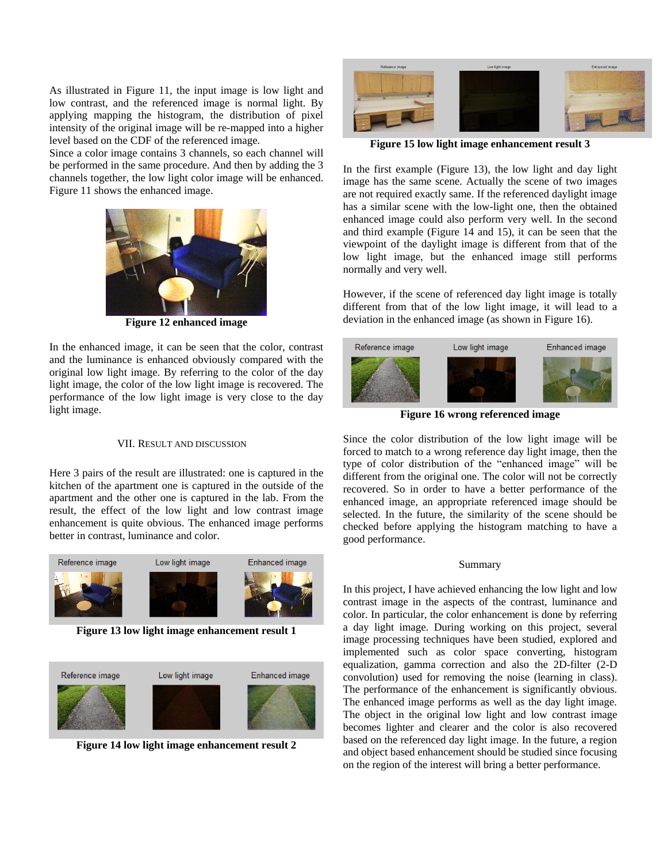As illustrated in Figure 11, the input image is low light and low contrast, and the referenced image is normal light. By applying mapping the histogram, the distribution of pixel intensity of the original image will be re-mapped into a higher level based on the CDF of the referenced image.

Since a color image contains 3 channels, so each channel will be performed in the same procedure. And then by adding the 3 channels together, the low light color image will be enhanced. Figure 11 shows the enhanced image.



**Figure 12 enhanced image**

In the enhanced image, it can be seen that the color, contrast and the luminance is enhanced obviously compared with the original low light image. By referring to the color of the day light image, the color of the low light image is recovered. The performance of the low light image is very close to the day light image.

## VII. RESULT AND DISCUSSION

Here 3 pairs of the result are illustrated: one is captured in the kitchen of the apartment one is captured in the outside of the apartment and the other one is captured in the lab. From the result, the effect of the low light and low contrast image enhancement is quite obvious. The enhanced image performs better in contrast, luminance and color.



**Figure 13 low light image enhancement result 1**



**Figure 14 low light image enhancement result 2**



**Figure 15 low light image enhancement result 3**

In the first example (Figure 13), the low light and day light image has the same scene. Actually the scene of two images are not required exactly same. If the referenced daylight image has a similar scene with the low-light one, then the obtained enhanced image could also perform very well. In the second and third example (Figure 14 and 15), it can be seen that the viewpoint of the daylight image is different from that of the low light image, but the enhanced image still performs normally and very well.

However, if the scene of referenced day light image is totally different from that of the low light image, it will lead to a deviation in the enhanced image (as shown in Figure 16).



**Figure 16 wrong referenced image**

Since the color distribution of the low light image will be forced to match to a wrong reference day light image, then the type of color distribution of the "enhanced image" will be different from the original one. The color will not be correctly recovered. So in order to have a better performance of the enhanced image, an appropriate referenced image should be selected. In the future, the similarity of the scene should be checked before applying the histogram matching to have a good performance.

#### Summary

In this project, I have achieved enhancing the low light and low contrast image in the aspects of the contrast, luminance and color. In particular, the color enhancement is done by referring a day light image. During working on this project, several image processing techniques have been studied, explored and implemented such as color space converting, histogram equalization, gamma correction and also the 2D-filter (2-D convolution) used for removing the noise (learning in class). The performance of the enhancement is significantly obvious. The enhanced image performs as well as the day light image. The object in the original low light and low contrast image becomes lighter and clearer and the color is also recovered based on the referenced day light image. In the future, a region and object based enhancement should be studied since focusing on the region of the interest will bring a better performance.